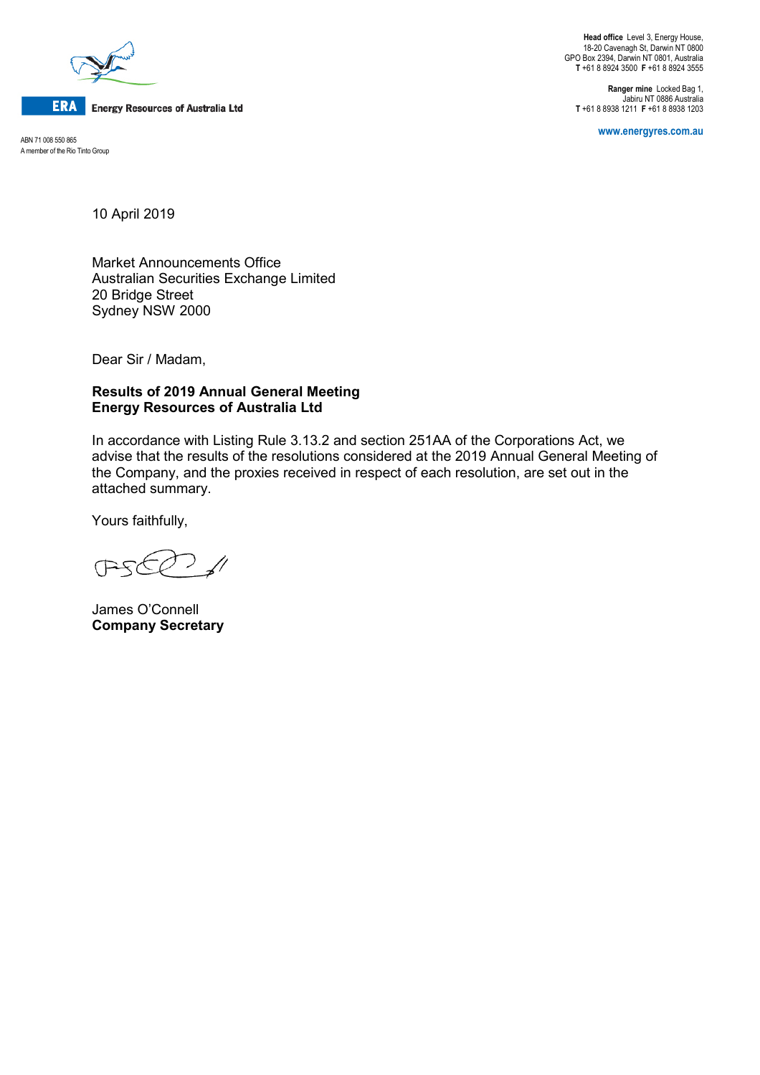

**ERA** Energy Resources of Australia Ltd

**www.energyres.com.au** ABN 71 008 550 865 A member of the Rio Tinto Group

**Head office** Level 3, Energy House, 18-20 Cavenagh St, Darwin NT 0800 GPO Box 2394, Darwin NT 0801, Australia **T** +61 8 8924 3500 **F** +61 8 8924 3555

**Ranger mine** Locked Bag 1, Jabiru NT 0886 Australia **T** +61 8 8938 1211 **F** +61 8 8938 1203

10 April 2019

Market Announcements Office Australian Securities Exchange Limited 20 Bridge Street Sydney NSW 2000

Dear Sir / Madam,

## **Results of 2019 Annual General Meeting Energy Resources of Australia Ltd**

In accordance with Listing Rule 3.13.2 and section 251AA of the Corporations Act, we advise that the results of the resolutions considered at the 2019 Annual General Meeting of the Company, and the proxies received in respect of each resolution, are set out in the attached summary.

Yours faithfully,

 $\sqrt{}$ PE

James O'Connell **Company Secretary**